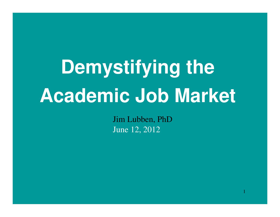# **Demystifying the Academic Job Market**

Jim Lubben, PhDJune 12, 2012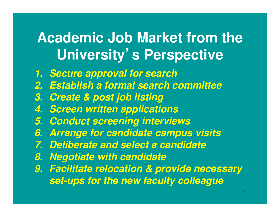#### **Academic Job Market from the University**'**s Perspective**

- **1. Secure approval for search**
- **2. Establish a formal search committee**
- **3. Create & post job listing**
- **4. Screen written applications**
- **5. Conduct screening interviews**
- **6. Arrange for candidate campus visits**
- **7. Deliberate and select a candidate**
- **8. Negotiate with candidate**
- **9. Facilitate relocation & provide necessary set-ups for the new faculty colleague**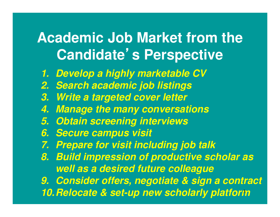#### **Academic Job Market from the Candidate**'**s Perspective**

- **1. Develop a highly marketable CV**
- **2. Search academic job listings**
- **3. Write a targeted cover letter**
- **4. Manage the many conversations**
- **5. Obtain screening interviews**
- **6. Secure campus visit**
- **7. Prepare for visit including job talk**
- **8. Build impression of productive scholar as well as a desired future colleague**

 **9. Consider offers, negotiate & sign a contract10.Relocate & set-up new scholarly platform** 3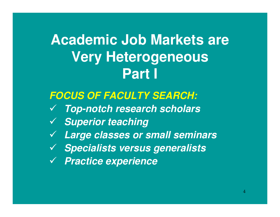### **Academic Job Markets are Very Heterogeneous Part I**

#### **FOCUS OF FACULTY SEARCH:**

- **Top-notch research scholars**
- **Superior teaching**
- **Large classes or small seminars**
- **Specialists versus generalists**
- **Practice experience**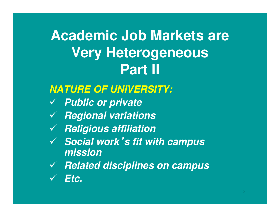### **Academic Job Markets are Very Heterogeneous Part II**

#### **NATURE OF UNIVERSITY:**

- **Public or private**
- **Regional variations**
- **Religious affiliation**
- **Social work**'**s fit with campus mission**
- **Related disciplines on campus**
- $\checkmark$ **Etc.**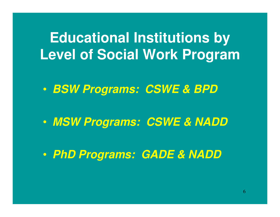#### **Educational Institutions by Level of Social Work Program**

 $\textcolor{red}{\bullet}$ **BSW Programs: CSWE & BPD**

 $\mathbf C$ **MSW Programs: CSWE & NADD**

 $\mathbf C$ **PhD Programs: GADE & NADD**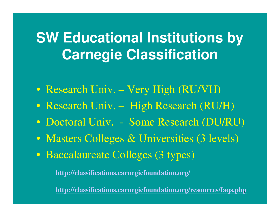### **SW Educational Institutions by Carnegie Classification**

- Research Univ. Very High (RU/VH)
- Research Univ. High Research (RU/H)
- $\bullet$ Doctoral Univ. - Some Research (DU/RU)
- Masters Colleges & Universities (3 levels)
- Baccalaureate Colleges (3 types)

**http://classifications.carnegiefoundation.org/**

7**http://classifications.carnegiefoundation.org/resources/faqs.php**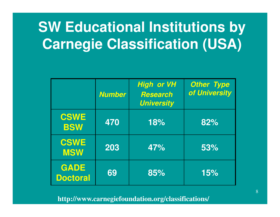## **SW Educational Institutions by Carnegie Classification (USA)**

|                                | <b>Number</b> | <b>High</b> or VH<br><b>Research</b><br><b>University</b> | <b>Other Type</b><br>of University |
|--------------------------------|---------------|-----------------------------------------------------------|------------------------------------|
| <b>CSWE</b><br><b>BSW</b>      | 470           | 18%                                                       | 82%                                |
| <b>CSWE</b><br><b>MSW</b>      | 203           | 47%                                                       | 53%                                |
| <b>GADE</b><br><b>Doctoral</b> | 69            | 85%                                                       | 15%                                |

**http://www.carnegiefoundation.org/classifications/**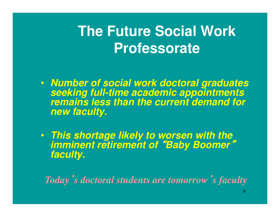### **The Future Social Work Professorate**

- **Number of social work doctoral graduates seeking full-time academic appointments remains less than the current demand for new faculty.**
- **This shortage likely to worsen with the imminent retirement of** "**Baby Boomer**"**faculty.**

*Today*'*s doctoral students are tomorrow*'*s faculty*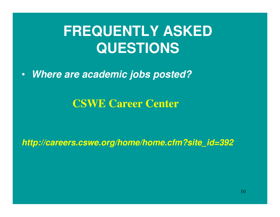### **FREQUENTLY ASKED QUESTIONS**

•**Where are academic jobs posted?**

**CSWE Career Center**

**http://careers.cswe.org/home/home.cfm?site\_id=392**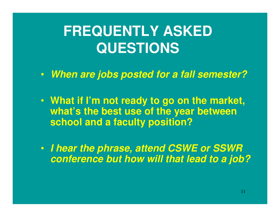#### **FREQUENTLY ASKED QUESTIONS**

- **When are jobs posted for a fall semester?**
- **What if I'm not ready to go on the market, what's the best use of the year between school and a faculty position?**
- **I hear the phrase, attend CSWE or SSWR conference but how will that lead to a job?**